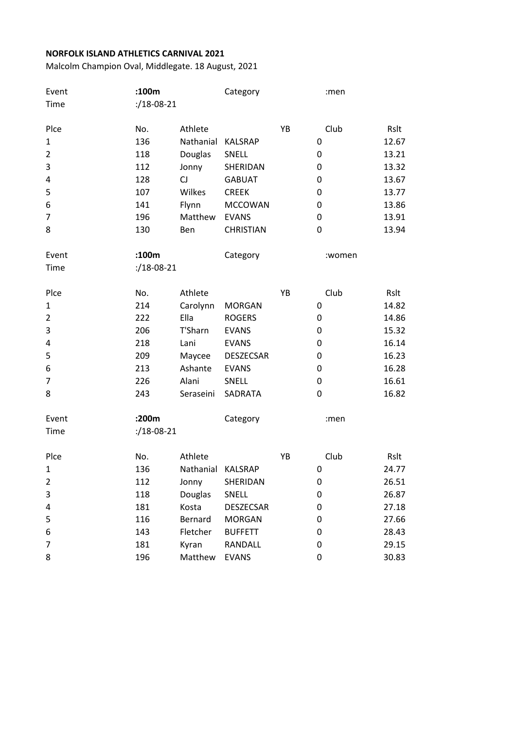| Event          | :100m                   |           | Category         |    | :men   |       |
|----------------|-------------------------|-----------|------------------|----|--------|-------|
| Time           | $: /18 - 08 - 21$       |           |                  |    |        |       |
|                |                         |           |                  |    |        |       |
| Plce           | No.                     | Athlete   |                  | YB | Club   | Rslt  |
| $\mathbf{1}$   | 136                     | Nathanial | <b>KALSRAP</b>   |    | 0      | 12.67 |
| $\overline{2}$ | 118                     | Douglas   | SNELL            |    | 0      | 13.21 |
| 3              | 112                     | Jonny     | SHERIDAN         |    | 0      | 13.32 |
| 4              | 128                     | <b>CJ</b> | <b>GABUAT</b>    |    | 0      | 13.67 |
| 5              | 107                     | Wilkes    | <b>CREEK</b>     |    | 0      | 13.77 |
| 6              | 141                     | Flynn     | <b>MCCOWAN</b>   |    | 0      | 13.86 |
| 7              | 196                     | Matthew   | <b>EVANS</b>     |    | 0      | 13.91 |
| 8              | 130                     | Ben       | <b>CHRISTIAN</b> |    | 0      | 13.94 |
| Event          | :100m                   |           | Category         |    | :women |       |
| Time           | $\frac{1}{2}$ /18-08-21 |           |                  |    |        |       |
| Plce           | No.                     | Athlete   |                  | YB | Club   | Rslt  |
| $\mathbf{1}$   | 214                     | Carolynn  | <b>MORGAN</b>    |    | 0      | 14.82 |
| $\overline{2}$ | 222                     | Ella      | <b>ROGERS</b>    |    | 0      | 14.86 |
| 3              | 206                     | T'Sharn   | <b>EVANS</b>     |    | 0      | 15.32 |
| 4              | 218                     | Lani      | <b>EVANS</b>     |    | 0      | 16.14 |
| 5              | 209                     | Maycee    | DESZECSAR        |    | 0      | 16.23 |
| 6              | 213                     | Ashante   | <b>EVANS</b>     |    | 0      | 16.28 |
| 7              | 226                     | Alani     | SNELL            |    | 0      | 16.61 |
| 8              | 243                     | Seraseini | SADRATA          |    | 0      | 16.82 |
| Event          | :200m                   |           | Category         |    | :men   |       |
| Time           | $\frac{1}{2}$ /18-08-21 |           |                  |    |        |       |
| Plce           | No.                     | Athlete   |                  | YB | Club   | Rslt  |
| $\mathbf{1}$   | 136                     | Nathanial | <b>KALSRAP</b>   |    | 0      | 24.77 |
| $\overline{2}$ | 112                     | Jonny     | SHERIDAN         |    | 0      | 26.51 |
| 3              | 118                     | Douglas   | SNELL            |    | 0      | 26.87 |
| 4              | 181                     | Kosta     | <b>DESZECSAR</b> |    | 0      | 27.18 |
| 5              | 116                     | Bernard   | <b>MORGAN</b>    |    | 0      | 27.66 |
| 6              | 143                     | Fletcher  | <b>BUFFETT</b>   |    | 0      | 28.43 |
| 7              | 181                     | Kyran     | RANDALL          |    | 0      | 29.15 |
| 8              | 196                     | Matthew   | <b>EVANS</b>     |    | 0      | 30.83 |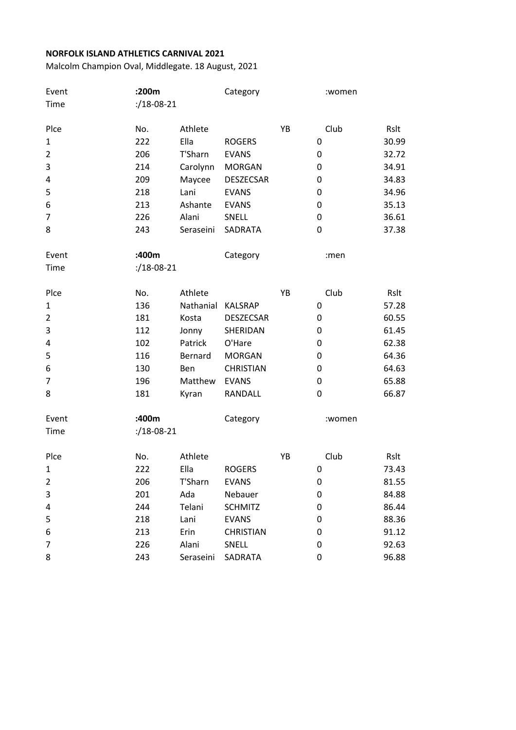| Event          | :200m                   |           | Category         |    | :women |       |
|----------------|-------------------------|-----------|------------------|----|--------|-------|
| Time           | $: /18 - 08 - 21$       |           |                  |    |        |       |
|                |                         |           |                  |    |        |       |
| Plce           | No.                     | Athlete   |                  | YB | Club   | Rslt  |
| 1              | 222                     | Ella      | <b>ROGERS</b>    |    | 0      | 30.99 |
| $\overline{2}$ | 206                     | T'Sharn   | <b>EVANS</b>     |    | 0      | 32.72 |
| 3              | 214                     | Carolynn  | <b>MORGAN</b>    |    | 0      | 34.91 |
| 4              | 209                     | Maycee    | <b>DESZECSAR</b> |    | 0      | 34.83 |
| 5              | 218                     | Lani      | <b>EVANS</b>     |    | 0      | 34.96 |
| 6              | 213                     | Ashante   | <b>EVANS</b>     |    | 0      | 35.13 |
| 7              | 226                     | Alani     | SNELL            |    | 0      | 36.61 |
| 8              | 243                     | Seraseini | SADRATA          |    | 0      | 37.38 |
| Event          | :400m                   |           | Category         |    | :men   |       |
| Time           | $\frac{1}{2}$ /18-08-21 |           |                  |    |        |       |
| Plce           | No.                     | Athlete   |                  | YB | Club   | Rslt  |
| $\mathbf{1}$   | 136                     | Nathanial | <b>KALSRAP</b>   |    | 0      | 57.28 |
| $\overline{2}$ | 181                     | Kosta     | <b>DESZECSAR</b> |    | 0      | 60.55 |
| 3              | 112                     | Jonny     | SHERIDAN         |    | 0      | 61.45 |
| 4              | 102                     | Patrick   | O'Hare           |    | 0      | 62.38 |
| 5              | 116                     | Bernard   | <b>MORGAN</b>    |    | 0      | 64.36 |
| 6              | 130                     | Ben       | <b>CHRISTIAN</b> |    | 0      | 64.63 |
| 7              | 196                     | Matthew   | <b>EVANS</b>     |    | 0      | 65.88 |
| 8              | 181                     | Kyran     | RANDALL          |    | 0      | 66.87 |
|                |                         |           |                  |    |        |       |
| Event          | :400m                   |           | Category         |    | :women |       |
| Time           | $\frac{1}{2}$ /18-08-21 |           |                  |    |        |       |
| Plce           | No.                     | Athlete   |                  | YB | Club   | Rslt  |
| $\mathbf{1}$   | 222                     | Ella      | <b>ROGERS</b>    |    | 0      | 73.43 |
| $\overline{2}$ | 206                     | T'Sharn   | <b>EVANS</b>     |    | 0      | 81.55 |
| 3              | 201                     | Ada       | Nebauer          |    | 0      | 84.88 |
| 4              | 244                     | Telani    | <b>SCHMITZ</b>   |    | 0      | 86.44 |
| 5              | 218                     | Lani      | <b>EVANS</b>     |    | 0      | 88.36 |
| 6              | 213                     | Erin      | <b>CHRISTIAN</b> |    | 0      | 91.12 |
| 7              | 226                     | Alani     | SNELL            |    | 0      | 92.63 |
| 8              | 243                     | Seraseini | SADRATA          |    | 0      | 96.88 |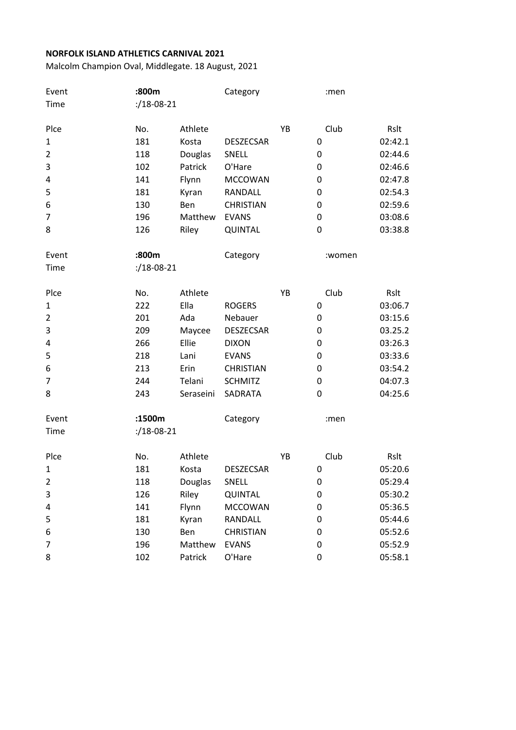|                                                                              |                                                                              |                                                                                            | Category                                                                                                                                                                  |    | :men                                            |                                                                        |
|------------------------------------------------------------------------------|------------------------------------------------------------------------------|--------------------------------------------------------------------------------------------|---------------------------------------------------------------------------------------------------------------------------------------------------------------------------|----|-------------------------------------------------|------------------------------------------------------------------------|
| Time                                                                         | $2/18 - 08 - 21$                                                             |                                                                                            |                                                                                                                                                                           |    |                                                 |                                                                        |
|                                                                              |                                                                              |                                                                                            |                                                                                                                                                                           |    |                                                 |                                                                        |
| Plce                                                                         | No.                                                                          | Athlete                                                                                    |                                                                                                                                                                           | YB | Club                                            | Rslt                                                                   |
| $\mathbf{1}$                                                                 | 181                                                                          | Kosta                                                                                      | <b>DESZECSAR</b>                                                                                                                                                          |    | 0                                               | 02:42.1                                                                |
| $\overline{2}$                                                               | 118                                                                          | Douglas                                                                                    | SNELL                                                                                                                                                                     |    | 0                                               | 02:44.6                                                                |
| 3                                                                            | 102                                                                          | Patrick                                                                                    | O'Hare                                                                                                                                                                    |    | 0                                               | 02:46.6                                                                |
| 4                                                                            | 141                                                                          | Flynn                                                                                      | <b>MCCOWAN</b>                                                                                                                                                            |    | 0                                               | 02:47.8                                                                |
| 5                                                                            | 181                                                                          | Kyran                                                                                      | <b>RANDALL</b>                                                                                                                                                            |    | 0                                               | 02:54.3                                                                |
| 6                                                                            | 130                                                                          | Ben                                                                                        | <b>CHRISTIAN</b>                                                                                                                                                          |    | 0                                               | 02:59.6                                                                |
| 7                                                                            | 196                                                                          | Matthew                                                                                    | <b>EVANS</b>                                                                                                                                                              |    | 0                                               | 03:08.6                                                                |
| 8                                                                            | 126                                                                          | Riley                                                                                      | QUINTAL                                                                                                                                                                   |    | 0                                               | 03:38.8                                                                |
| Event                                                                        | :800m                                                                        |                                                                                            | Category                                                                                                                                                                  |    | :women                                          |                                                                        |
| Time                                                                         | $: / 18 - 08 - 21$                                                           |                                                                                            |                                                                                                                                                                           |    |                                                 |                                                                        |
| Plce                                                                         | No.                                                                          | Athlete                                                                                    |                                                                                                                                                                           | YB | Club                                            | Rslt                                                                   |
| $\mathbf{1}$                                                                 | 222                                                                          | Ella                                                                                       | <b>ROGERS</b>                                                                                                                                                             |    | 0                                               | 03:06.7                                                                |
| $\overline{2}$                                                               | 201                                                                          | Ada                                                                                        | Nebauer                                                                                                                                                                   |    | 0                                               | 03:15.6                                                                |
|                                                                              |                                                                              |                                                                                            |                                                                                                                                                                           |    | 0                                               | 03.25.2                                                                |
| 4                                                                            | 266                                                                          | Ellie                                                                                      | <b>DIXON</b>                                                                                                                                                              |    | 0                                               | 03:26.3                                                                |
|                                                                              | 218                                                                          | Lani                                                                                       |                                                                                                                                                                           |    | 0                                               | 03:33.6                                                                |
|                                                                              |                                                                              |                                                                                            |                                                                                                                                                                           |    | 0                                               | 03:54.2                                                                |
| 7                                                                            | 244                                                                          | Telani                                                                                     | <b>SCHMITZ</b>                                                                                                                                                            |    | 0                                               | 04:07.3                                                                |
| 8                                                                            | 243                                                                          | Seraseini                                                                                  | SADRATA                                                                                                                                                                   |    | 0                                               | 04:25.6                                                                |
|                                                                              |                                                                              |                                                                                            |                                                                                                                                                                           |    |                                                 |                                                                        |
| Time                                                                         | $\frac{1}{2}$ /18-08-21                                                      |                                                                                            |                                                                                                                                                                           |    |                                                 |                                                                        |
|                                                                              |                                                                              |                                                                                            |                                                                                                                                                                           |    |                                                 |                                                                        |
|                                                                              |                                                                              |                                                                                            |                                                                                                                                                                           |    |                                                 |                                                                        |
|                                                                              |                                                                              |                                                                                            |                                                                                                                                                                           |    |                                                 |                                                                        |
|                                                                              |                                                                              |                                                                                            |                                                                                                                                                                           |    |                                                 |                                                                        |
|                                                                              |                                                                              |                                                                                            |                                                                                                                                                                           |    |                                                 |                                                                        |
|                                                                              |                                                                              |                                                                                            |                                                                                                                                                                           |    |                                                 |                                                                        |
|                                                                              |                                                                              |                                                                                            |                                                                                                                                                                           |    |                                                 |                                                                        |
|                                                                              |                                                                              |                                                                                            |                                                                                                                                                                           |    |                                                 | 05:52.9                                                                |
| 8                                                                            | 102                                                                          | Patrick                                                                                    | O'Hare                                                                                                                                                                    |    | 0                                               | 05:58.1                                                                |
| 3<br>5<br>6<br>Event<br>Plce<br>1<br>$\overline{2}$<br>3<br>4<br>5<br>6<br>7 | 209<br>213<br>:1500m<br>No.<br>181<br>118<br>126<br>141<br>181<br>130<br>196 | Maycee<br>Erin<br>Athlete<br>Kosta<br>Douglas<br>Riley<br>Flynn<br>Kyran<br>Ben<br>Matthew | <b>DESZECSAR</b><br><b>EVANS</b><br><b>CHRISTIAN</b><br>Category<br><b>DESZECSAR</b><br>SNELL<br>QUINTAL<br><b>MCCOWAN</b><br>RANDALL<br><b>CHRISTIAN</b><br><b>EVANS</b> | YB | :men<br>Club<br>0<br>0<br>0<br>0<br>0<br>0<br>0 | Rslt<br>05:20.6<br>05:29.4<br>05:30.2<br>05:36.5<br>05:44.6<br>05:52.6 |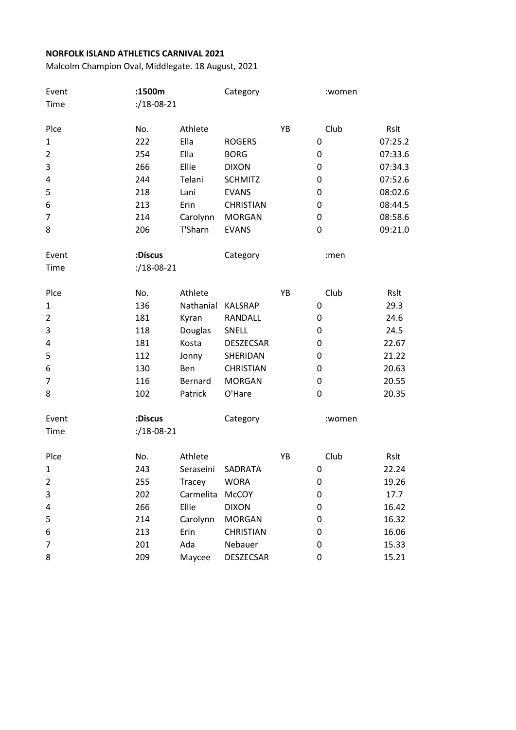| Event          | :1500m                  |           | Category         |    | :women |         |
|----------------|-------------------------|-----------|------------------|----|--------|---------|
| Time           | $: /18 - 08 - 21$       |           |                  |    |        |         |
|                |                         |           |                  |    |        |         |
| Plce           | No.                     | Athlete   |                  | YB | Club   | Rslt    |
| $\mathbf{1}$   | 222                     | Ella      | <b>ROGERS</b>    |    | 0      | 07:25.2 |
| $\overline{2}$ | 254                     | Ella      | <b>BORG</b>      |    | 0      | 07:33.6 |
| 3              | 266                     | Ellie     | <b>DIXON</b>     |    | 0      | 07:34.3 |
| 4              | 244                     | Telani    | <b>SCHMITZ</b>   |    | 0      | 07:52.6 |
| 5              | 218                     | Lani      | <b>EVANS</b>     |    | 0      | 08:02.6 |
| 6              | 213                     | Erin      | <b>CHRISTIAN</b> |    | 0      | 08:44.5 |
| 7              | 214                     | Carolynn  | <b>MORGAN</b>    |    | 0      | 08:58.6 |
| 8              | 206                     | T'Sharn   | <b>EVANS</b>     |    | 0      | 09:21.0 |
| Event          | :Discus                 |           | Category         |    | :men   |         |
| Time           | $: /18 - 08 - 21$       |           |                  |    |        |         |
| Plce           | No.                     | Athlete   |                  | YB | Club   | Rslt    |
| $\mathbf{1}$   | 136                     | Nathanial | <b>KALSRAP</b>   |    | 0      | 29.3    |
| $\overline{2}$ | 181                     | Kyran     | RANDALL          |    | 0      | 24.6    |
| 3              | 118                     | Douglas   | SNELL            |    | 0      | 24.5    |
| 4              | 181                     | Kosta     | <b>DESZECSAR</b> |    | 0      | 22.67   |
| 5              | 112                     | Jonny     | SHERIDAN         |    | 0      | 21.22   |
| 6              | 130                     | Ben       | <b>CHRISTIAN</b> |    | 0      | 20.63   |
| 7              | 116                     | Bernard   | <b>MORGAN</b>    |    | 0      | 20.55   |
| 8              | 102                     | Patrick   | O'Hare           |    | 0      | 20.35   |
| Event          | :Discus                 |           | Category         |    | :women |         |
| Time           | $\frac{1}{2}$ /18-08-21 |           |                  |    |        |         |
| Plce           | No.                     | Athlete   |                  | YB | Club   | Rslt    |
| $\mathbf{1}$   | 243                     | Seraseini | SADRATA          |    | 0      | 22.24   |
| $\overline{2}$ | 255                     | Tracey    | <b>WORA</b>      |    | 0      | 19.26   |
| 3              | 202                     | Carmelita | <b>McCOY</b>     |    | 0      | 17.7    |
| 4              | 266                     | Ellie     | <b>DIXON</b>     |    | 0      | 16.42   |
| 5              | 214                     | Carolynn  | <b>MORGAN</b>    |    | 0      | 16.32   |
| 6              | 213                     | Erin      | <b>CHRISTIAN</b> |    | 0      | 16.06   |
| 7              | 201                     | Ada       | Nebauer          |    | 0      | 15.33   |
| 8              | 209                     | Maycee    | <b>DESZECSAR</b> |    | 0      | 15.21   |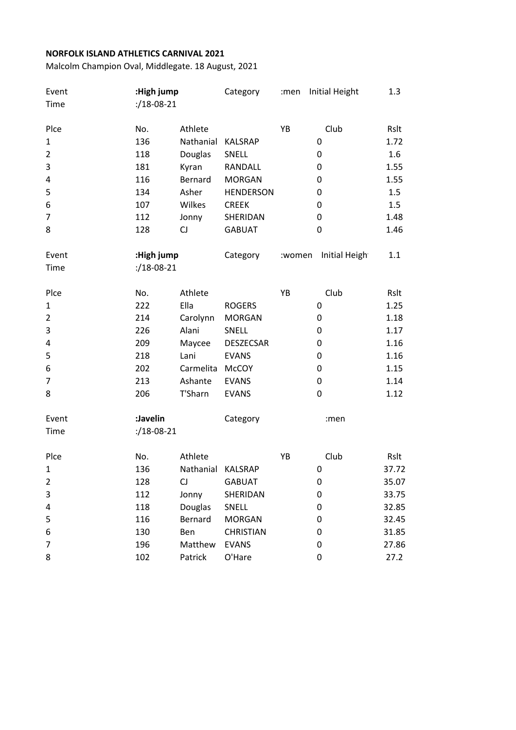| Event          | :High jump        |                   | Category         | :men   | Initial Height | 1.3   |
|----------------|-------------------|-------------------|------------------|--------|----------------|-------|
| Time           | $2/18 - 08 - 21$  |                   |                  |        |                |       |
| Plce           | No.               | Athlete           |                  | YB     | Club           | Rslt  |
| $\mathbf{1}$   | 136               | Nathanial         | <b>KALSRAP</b>   |        | 0              | 1.72  |
| $\overline{2}$ | 118               | Douglas           | SNELL            |        | 0              | 1.6   |
| 3              | 181               | Kyran             | RANDALL          |        | 0              | 1.55  |
| 4              | 116               | Bernard           | <b>MORGAN</b>    |        | 0              | 1.55  |
| 5              | 134               | Asher             | <b>HENDERSON</b> |        | 0              | 1.5   |
| 6              | 107               | Wilkes            | <b>CREEK</b>     |        | 0              | 1.5   |
| $\overline{7}$ | 112               | Jonny             | SHERIDAN         |        | 0              | 1.48  |
| 8              | 128               | CJ                | <b>GABUAT</b>    |        | 0              | 1.46  |
| Event          | :High jump        |                   | Category         | :women | Initial Heigh  | 1.1   |
| Time           | $2/18 - 08 - 21$  |                   |                  |        |                |       |
| Plce           | No.               | Athlete           |                  | YB     | Club           | Rslt  |
| $\mathbf{1}$   | 222               | Ella              | <b>ROGERS</b>    |        | 0              | 1.25  |
| $\overline{2}$ | 214               | Carolynn          | <b>MORGAN</b>    |        | 0              | 1.18  |
| 3              | 226               | Alani             | SNELL            |        | 0              | 1.17  |
| 4              | 209               | Maycee            | <b>DESZECSAR</b> |        | 0              | 1.16  |
| 5              | 218               | Lani              | <b>EVANS</b>     |        | 0              | 1.16  |
| 6              | 202               | Carmelita McCOY   |                  |        | 0              | 1.15  |
| $\overline{7}$ | 213               | Ashante           | <b>EVANS</b>     |        | 0              | 1.14  |
| 8              | 206               | T'Sharn           | <b>EVANS</b>     |        | 0              | 1.12  |
| Event          | :Javelin          |                   | Category         |        | :men           |       |
| Time           | $21.18 - 08 - 21$ |                   |                  |        |                |       |
| Plce           | No.               | Athlete           |                  | YB     | Club           | Rslt  |
| 1              | 136               | Nathanial KALSRAP |                  |        | 0              | 37.72 |
| $\overline{2}$ | 128               | CJ                | <b>GABUAT</b>    |        | 0              | 35.07 |
| 3              | 112               | Jonny             | SHERIDAN         |        | 0              | 33.75 |
| 4              | 118               | Douglas           | SNELL            |        | 0              | 32.85 |
| 5              | 116               | Bernard           | <b>MORGAN</b>    |        | 0              | 32.45 |
| 6              | 130               | Ben               | <b>CHRISTIAN</b> |        | 0              | 31.85 |
| 7              | 196               | Matthew           | <b>EVANS</b>     |        | 0              | 27.86 |
| 8              | 102               | Patrick           | O'Hare           |        | 0              | 27.2  |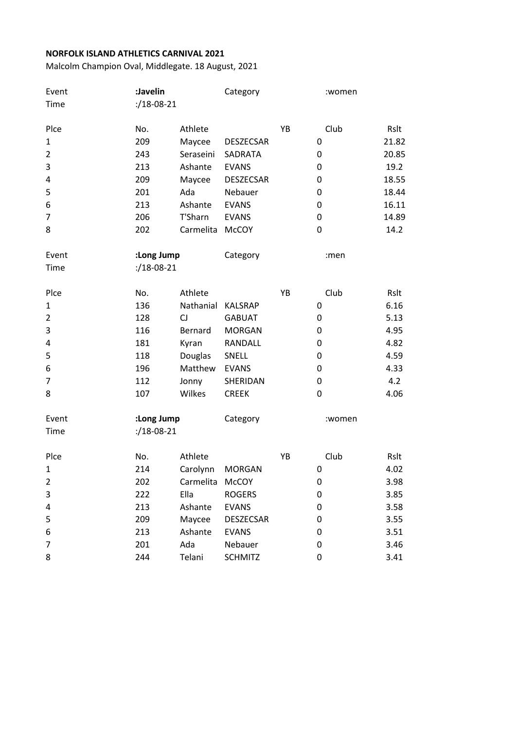| Rslt<br>21.82<br>20.85<br>19.2<br>18.55<br>18.44<br>16.11<br>14.89<br>14.2 |
|----------------------------------------------------------------------------|
|                                                                            |
|                                                                            |
|                                                                            |
|                                                                            |
|                                                                            |
|                                                                            |
|                                                                            |
|                                                                            |
|                                                                            |
|                                                                            |
|                                                                            |
|                                                                            |
|                                                                            |
| Rslt                                                                       |
| 6.16                                                                       |
| 5.13                                                                       |
| 4.95                                                                       |
| 4.82                                                                       |
| 4.59                                                                       |
| 4.33                                                                       |
| 4.2                                                                        |
| 4.06                                                                       |
|                                                                            |
|                                                                            |
| Rslt                                                                       |
| 4.02                                                                       |
| 3.98                                                                       |
| 3.85                                                                       |
| 3.58                                                                       |
| 3.55                                                                       |
| 3.51                                                                       |
| 3.46                                                                       |
| 3.41                                                                       |
|                                                                            |